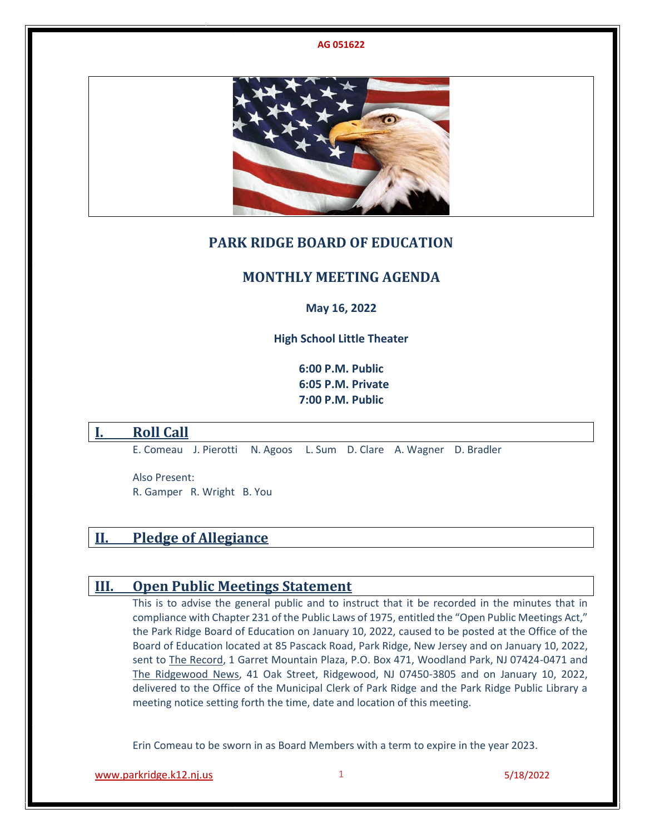

## **PARK RIDGE BOARD OF EDUCATION**

## **MONTHLY MEETING AGENDA**

**May 16, 2022**

**High School Little Theater**

**6:00 P.M. Public 6:05 P.M. Private 7:00 P.M. Public**

## **I. Roll Call**

E. Comeau J. Pierotti N. Agoos L. Sum D. Clare A. Wagner D. Bradler

Also Present: R. Gamper R. Wright B. You

# **II. Pledge of Allegiance**

## **III. Open Public Meetings Statement**

This is to advise the general public and to instruct that it be recorded in the minutes that in compliance with Chapter 231 of the Public Laws of 1975, entitled the "Open Public Meetings Act," the Park Ridge Board of Education on January 10, 2022, caused to be posted at the Office of the Board of Education located at 85 Pascack Road, Park Ridge, New Jersey and on January 10, 2022, sent to The Record, 1 Garret Mountain Plaza, P.O. Box 471, Woodland Park, NJ 07424-0471 and The Ridgewood News, 41 Oak Street, Ridgewood, NJ 07450-3805 and on January 10, 2022, delivered to the Office of the Municipal Clerk of Park Ridge and the Park Ridge Public Library a meeting notice setting forth the time, date and location of this meeting.

Erin Comeau to be sworn in as Board Members with a term to expire in the year 2023.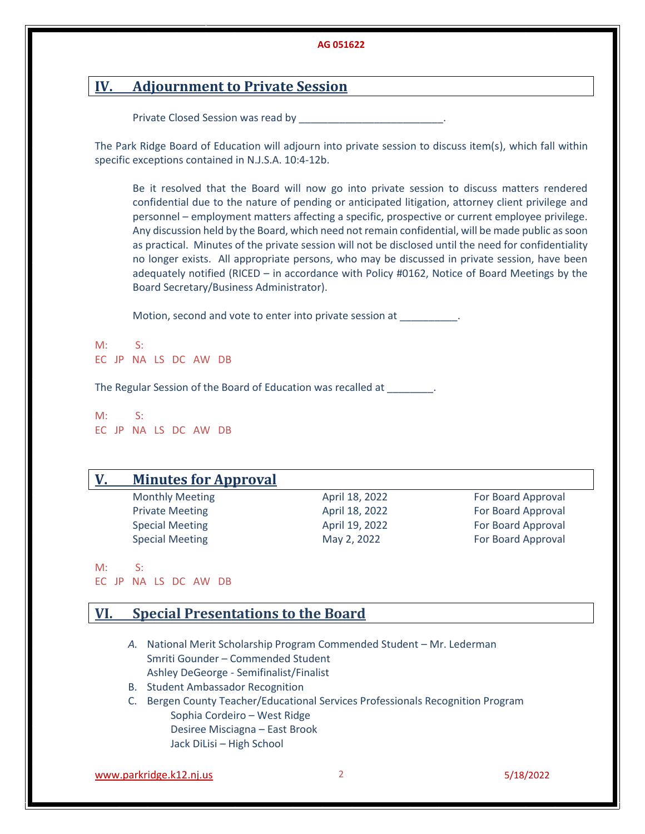# **IV. Adjournment to Private Session**

Private Closed Session was read by **No. 1988** 

The Park Ridge Board of Education will adjourn into private session to discuss item(s), which fall within specific exceptions contained in N.J.S.A. 10:4-12b.

Be it resolved that the Board will now go into private session to discuss matters rendered confidential due to the nature of pending or anticipated litigation, attorney client privilege and personnel – employment matters affecting a specific, prospective or current employee privilege. Any discussion held by the Board, which need not remain confidential, will be made public as soon as practical. Minutes of the private session will not be disclosed until the need for confidentiality no longer exists. All appropriate persons, who may be discussed in private session, have been adequately notified (RICED – in accordance with Policy #0162, Notice of Board Meetings by the Board Secretary/Business Administrator).

Motion, second and vote to enter into private session at  $\qquad \qquad$ .

 $M: S:$ EC JP NA LS DC AW DB

The Regular Session of the Board of Education was recalled at \_\_\_\_\_\_\_\_.

M: S: EC JP NA LS DC AW DB

### **V. Minutes for Approval**

Monthly Meeting The Control of April 18, 2022 **For Board Approval** 

Private Meeting The Control of April 18, 2022 **For Board Approval** Special Meeting The Control of April 19, 2022 **For Board Approval** Special Meeting The Control of May 2, 2022 The May 2, 2022 For Board Approval

M: S: EC JP NA LS DC AW DB

## **VI. Special Presentations to the Board**

- *A.* National Merit Scholarship Program Commended Student Mr. Lederman Smriti Gounder – Commended Student Ashley DeGeorge - Semifinalist/Finalist
- B. Student Ambassador Recognition
- C. Bergen County Teacher/Educational Services Professionals Recognition Program Sophia Cordeiro – West Ridge Desiree Misciagna – East Brook Jack DiLisi – High School

[www.parkridge.k12.nj.us](http://www.parkridge.k12.nj.us/) 2 5/18/2022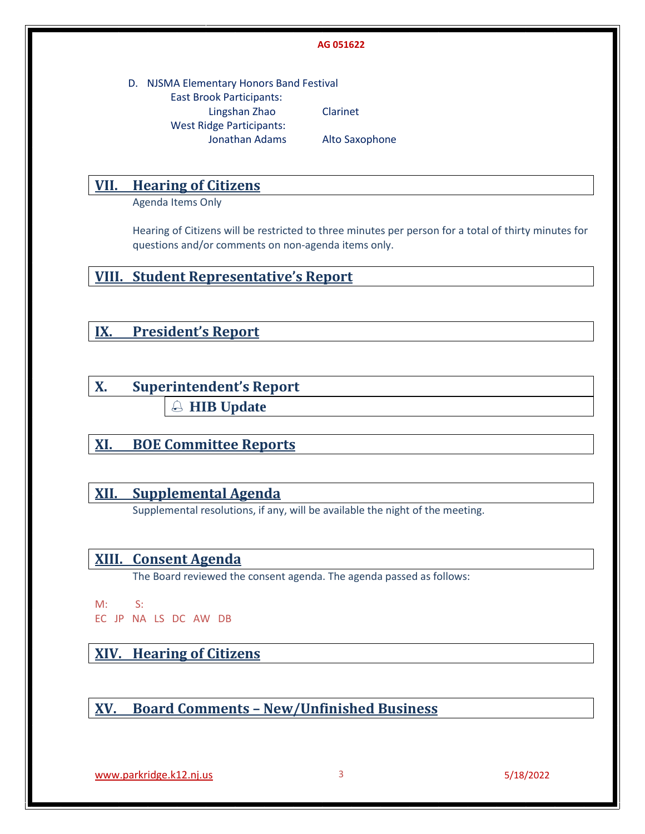D. NJSMA Elementary Honors Band Festival East Brook Participants: Lingshan Zhao Clarinet West Ridge Participants: Jonathan Adams Alto Saxophone

## **VII. Hearing of Citizens**

Agenda Items Only

Hearing of Citizens will be restricted to three minutes per person for a total of thirty minutes for questions and/or comments on non-agenda items only.

**VIII. Student Representative's Report** 

**IX. President's Report**

**X. Superintendent's Report HIB Update** 

**XI. BOE Committee Reports**

# **XII. Supplemental Agenda**

Supplemental resolutions, if any, will be available the night of the meeting.

# **XIII. Consent Agenda**

The Board reviewed the consent agenda. The agenda passed as follows:

M: S:

EC JP NA LS DC AW DB

# **XIV. Hearing of Citizens**

**XV. Board Comments – New/Unfinished Business**

[www.parkridge.k12.nj.us](http://www.parkridge.k12.nj.us/) 3 5/18/2022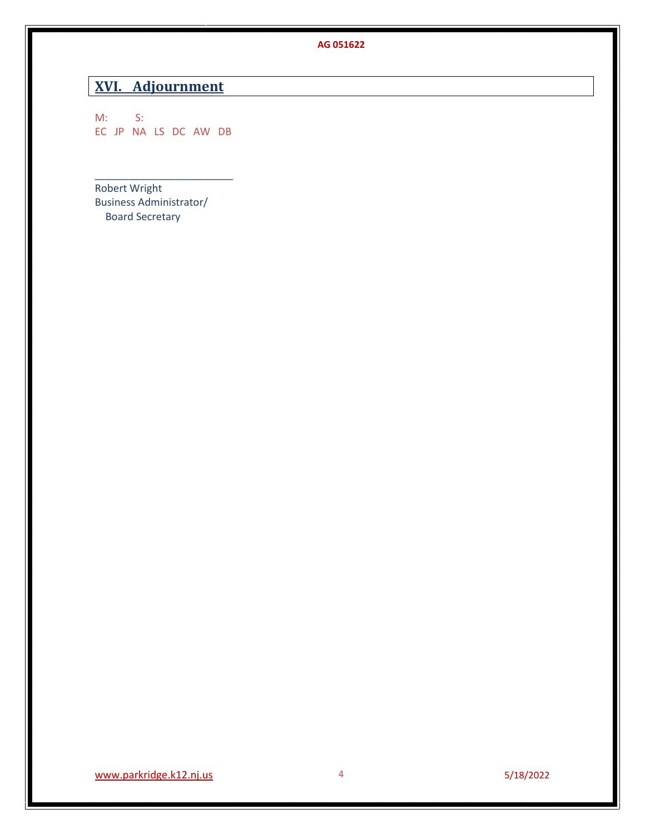# **XVI. Adjournment**

M: S: EC JP NA LS DC AW DB

\_\_\_\_\_\_\_\_\_\_\_\_\_\_\_\_\_\_\_\_\_\_\_\_

Robert Wright Business Administrator/ Board Secretary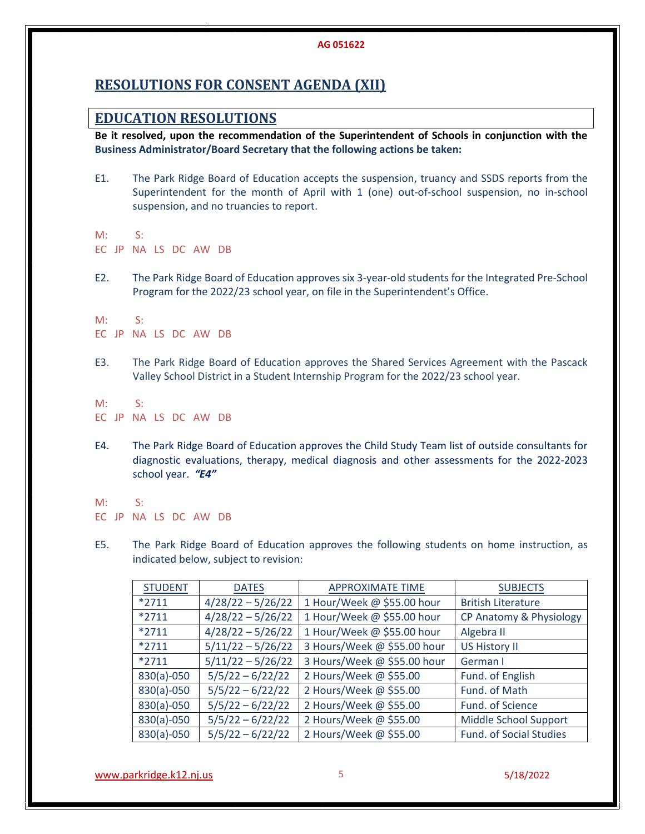# **RESOLUTIONS FOR CONSENT AGENDA (XII)**

## **EDUCATION RESOLUTIONS**

**Be it resolved, upon the recommendation of the Superintendent of Schools in conjunction with the Business Administrator/Board Secretary that the following actions be taken:**

- E1. The Park Ridge Board of Education accepts the suspension, truancy and SSDS reports from the Superintendent for the month of April with 1 (one) out-of-school suspension, no in-school suspension, and no truancies to report.
- M: S:
- EC JP NA LS DC AW DB
- E2. The Park Ridge Board of Education approves six 3-year-old students for the Integrated Pre-School Program for the 2022/23 school year, on file in the Superintendent's Office.

M: S:

- EC JP NA LS DC AW DB
- E3. The Park Ridge Board of Education approves the Shared Services Agreement with the Pascack Valley School District in a Student Internship Program for the 2022/23 school year.
- M: S: EC JP NA LS DC AW DB
- E4. The Park Ridge Board of Education approves the Child Study Team list of outside consultants for diagnostic evaluations, therapy, medical diagnosis and other assessments for the 2022-2023 school year.*"E4"*
- M: S: EC JP NA LS DC AW DB
- E5. The Park Ridge Board of Education approves the following students on home instruction, as indicated below, subject to revision:

| <b>STUDENT</b> | <b>DATES</b>        | <b>APPROXIMATE TIME</b>     | <b>SUBJECTS</b>           |
|----------------|---------------------|-----------------------------|---------------------------|
| $*2711$        | $4/28/22 - 5/26/22$ | 1 Hour/Week @ \$55.00 hour  | <b>British Literature</b> |
| $*2711$        | $4/28/22 - 5/26/22$ | 1 Hour/Week @ \$55.00 hour  | CP Anatomy & Physiology   |
| $*2711$        | $4/28/22 - 5/26/22$ | 1 Hour/Week @ \$55.00 hour  | Algebra II                |
| $*2711$        | $5/11/22 - 5/26/22$ | 3 Hours/Week @ \$55.00 hour | <b>US History II</b>      |
| $*2711$        | $5/11/22 - 5/26/22$ | 3 Hours/Week @ \$55.00 hour | German I                  |
| 830(a)-050     | $5/5/22 - 6/22/22$  | 2 Hours/Week @ \$55.00      | Fund. of English          |
| 830(a)-050     | $5/5/22 - 6/22/22$  | 2 Hours/Week @ \$55.00      | Fund. of Math             |
| 830(a)-050     | $5/5/22 - 6/22/22$  | 2 Hours/Week @ \$55.00      | Fund. of Science          |
| 830(a)-050     | $5/5/22 - 6/22/22$  | 2 Hours/Week @ \$55.00      | Middle School Support     |
| 830(a)-050     | $5/5/22 - 6/22/22$  | 2 Hours/Week @ \$55.00      | Fund. of Social Studies   |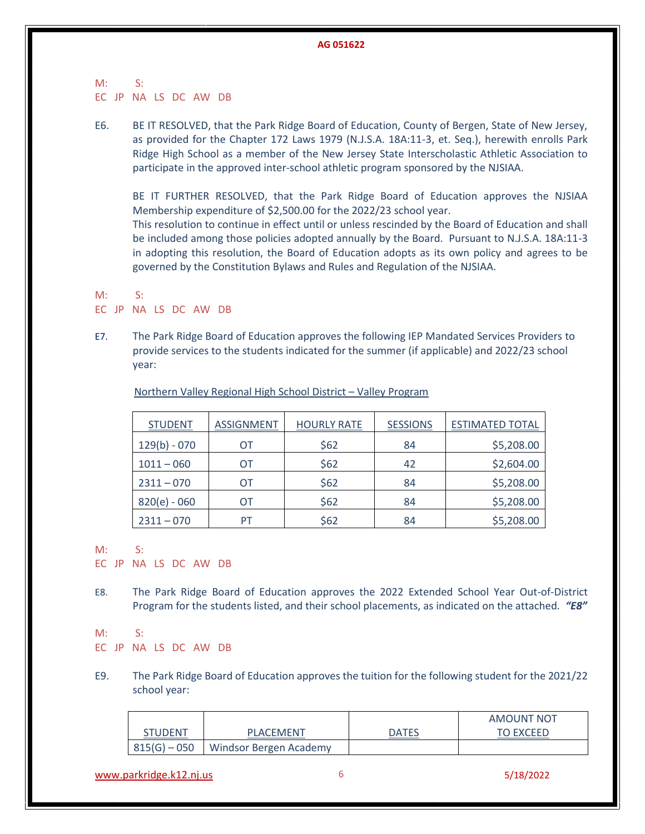M: S: EC JP NA LS DC AW DB

E6. BE IT RESOLVED, that the Park Ridge Board of Education, County of Bergen, State of New Jersey, as provided for the Chapter 172 Laws 1979 (N.J.S.A. 18A:11-3, et. Seq.), herewith enrolls Park Ridge High School as a member of the New Jersey State Interscholastic Athletic Association to participate in the approved inter-school athletic program sponsored by the NJSIAA.

BE IT FURTHER RESOLVED, that the Park Ridge Board of Education approves the NJSIAA Membership expenditure of \$2,500.00 for the 2022/23 school year.

This resolution to continue in effect until or unless rescinded by the Board of Education and shall be included among those policies adopted annually by the Board. Pursuant to N.J.S.A. 18A:11-3 in adopting this resolution, the Board of Education adopts as its own policy and agrees to be governed by the Constitution Bylaws and Rules and Regulation of the NJSIAA.

M: S: EC JP NA LS DC AW DB

E7. The Park Ridge Board of Education approves the following IEP Mandated Services Providers to provide services to the students indicated for the summer (if applicable) and 2022/23 school year:

| <b>STUDENT</b> | <b>ASSIGNMENT</b> | <b>HOURLY RATE</b> | <b>SESSIONS</b> | <b>ESTIMATED TOTAL</b> |
|----------------|-------------------|--------------------|-----------------|------------------------|
| $129(b) - 070$ | OТ                | \$62               | 84              | \$5,208.00             |
| $1011 - 060$   | OТ                | \$62               | 42              | \$2,604.00             |
| $2311 - 070$   | OТ                | \$62               | 84              | \$5,208.00             |
| $820(e) - 060$ | OТ                | \$62               | 84              | \$5,208.00             |
| $2311 - 070$   | PT                | \$62               | 84              | \$5,208.00             |

Northern Valley Regional High School District – Valley Program

M: S:

EC JP NA LS DC AW DB

E8. The Park Ridge Board of Education approves the 2022 Extended School Year Out-of-District Program for the students listed, and their school placements, as indicated on the attached*. "E8"*

M: S:

EC JP NA LS DC AW DB

E9. The Park Ridge Board of Education approves the tuition for the following student for the 2021/22 school year:

|                |                        |              | AMOUNT NOT       |
|----------------|------------------------|--------------|------------------|
| <b>STUDENT</b> | PLACEMENT              | <b>DATES</b> | <b>TO EXCEED</b> |
| $815(G) - 050$ | Windsor Bergen Academy |              |                  |

[www.parkridge.k12.nj.us](http://www.parkridge.k12.nj.us/) 6 5/18/2022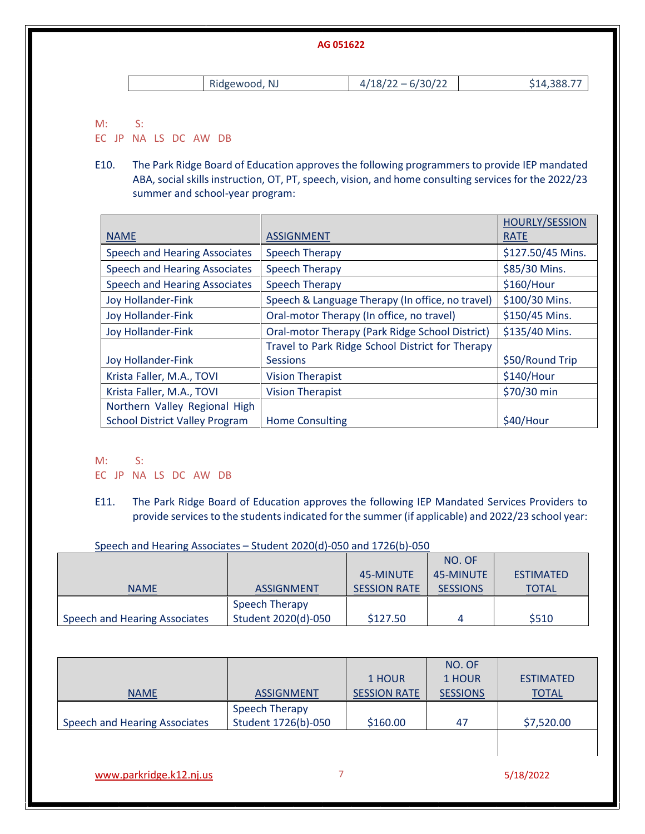|    |               | AG 051622           |             |
|----|---------------|---------------------|-------------|
|    | Ridgewood, NJ | $4/18/22 - 6/30/22$ | \$14,388.77 |
| M: |               |                     |             |

EC JP NA LS DC AW DB

E10. The Park Ridge Board of Education approves the following programmers to provide IEP mandated ABA, social skills instruction, OT, PT, speech, vision, and home consulting services for the 2022/23 summer and school-year program:

|                                       |                                                  | <b>HOURLY/SESSION</b> |
|---------------------------------------|--------------------------------------------------|-----------------------|
| <b>NAME</b>                           | <b>ASSIGNMENT</b>                                | <b>RATE</b>           |
| Speech and Hearing Associates         | <b>Speech Therapy</b>                            | \$127.50/45 Mins.     |
| <b>Speech and Hearing Associates</b>  | <b>Speech Therapy</b>                            | \$85/30 Mins.         |
| <b>Speech and Hearing Associates</b>  | <b>Speech Therapy</b>                            | \$160/Hour            |
| <b>Joy Hollander-Fink</b>             | Speech & Language Therapy (In office, no travel) | \$100/30 Mins.        |
| <b>Joy Hollander-Fink</b>             | Oral-motor Therapy (In office, no travel)        | \$150/45 Mins.        |
| <b>Joy Hollander-Fink</b>             | Oral-motor Therapy (Park Ridge School District)  | \$135/40 Mins.        |
|                                       | Travel to Park Ridge School District for Therapy |                       |
| Joy Hollander-Fink                    | <b>Sessions</b>                                  | \$50/Round Trip       |
| Krista Faller, M.A., TOVI             | <b>Vision Therapist</b>                          | \$140/Hour            |
| Krista Faller, M.A., TOVI             | <b>Vision Therapist</b>                          | \$70/30 min           |
| Northern Valley Regional High         |                                                  |                       |
| <b>School District Valley Program</b> | <b>Home Consulting</b>                           | \$40/Hour             |

M: S:

EC JP NA LS DC AW DB

E11. The Park Ridge Board of Education approves the following IEP Mandated Services Providers to provide services to the students indicated for the summer (if applicable) and 2022/23 school year:

Speech and Hearing Associates – Student 2020(d)-050 and 1726(b)-050

|                               |                       |                     | NO. OF          |                  |
|-------------------------------|-----------------------|---------------------|-----------------|------------------|
|                               |                       | 45-MINUTE           | 45-MINUTE       | <b>ESTIMATED</b> |
| <b>NAME</b>                   | <b>ASSIGNMENT</b>     | <b>SESSION RATE</b> | <b>SESSIONS</b> | <b>TOTAL</b>     |
|                               | <b>Speech Therapy</b> |                     |                 |                  |
| Speech and Hearing Associates | Student 2020(d)-050   | \$127.50            |                 | \$510            |

| <b>NAME</b>                   | <b>ASSIGNMENT</b>                     | 1 HOUR<br><b>SESSION RATE</b> | NO. OF<br>1 HOUR<br><b>SESSIONS</b> | <b>ESTIMATED</b><br><b>TOTAL</b> |
|-------------------------------|---------------------------------------|-------------------------------|-------------------------------------|----------------------------------|
| Speech and Hearing Associates | Speech Therapy<br>Student 1726(b)-050 | \$160.00                      | 47                                  | \$7,520.00                       |
|                               |                                       |                               |                                     |                                  |

[www.parkridge.k12.nj.us](http://www.parkridge.k12.nj.us/) 7 5/18/2022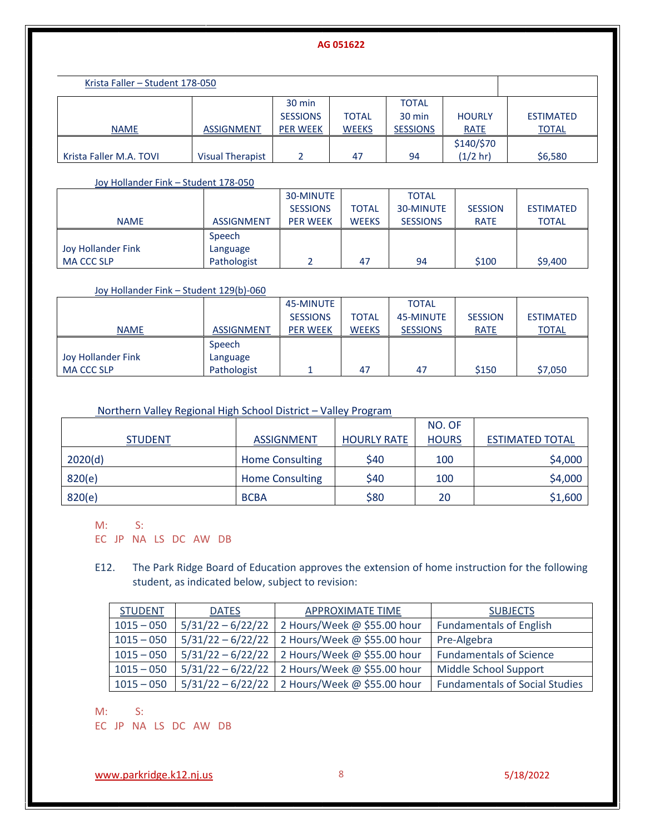| Krista Faller - Student 178-050 |                         |                 |              |                 |               |                  |
|---------------------------------|-------------------------|-----------------|--------------|-----------------|---------------|------------------|
|                                 |                         | 30 min          |              | <b>TOTAL</b>    |               |                  |
|                                 |                         | <b>SESSIONS</b> | <b>TOTAL</b> | 30 min          | <b>HOURLY</b> | <b>ESTIMATED</b> |
| <b>NAME</b>                     | <b>ASSIGNMENT</b>       | <b>PER WEEK</b> | <b>WEEKS</b> | <b>SESSIONS</b> | <b>RATE</b>   | <b>TOTAL</b>     |
|                                 |                         |                 |              |                 | \$140/\$70    |                  |
| Krista Faller M.A. TOVI         | <b>Visual Therapist</b> |                 | 47           | 94              | $(1/2)$ hr)   | \$6,580          |

Joy Hollander Fink – Student 178-050

|                    |                   | 30-MINUTE       |              | <b>TOTAL</b>    |                |                  |
|--------------------|-------------------|-----------------|--------------|-----------------|----------------|------------------|
|                    |                   | <b>SESSIONS</b> | <b>TOTAL</b> | 30-MINUTE       | <b>SESSION</b> | <b>ESTIMATED</b> |
| <b>NAME</b>        | <b>ASSIGNMENT</b> | <b>PER WEEK</b> | <b>WEEKS</b> | <b>SESSIONS</b> | <b>RATE</b>    | <b>TOTAL</b>     |
|                    | Speech            |                 |              |                 |                |                  |
| Joy Hollander Fink | Language          |                 |              |                 |                |                  |
| <b>MA CCC SLP</b>  | Pathologist       |                 | 47           | 94              | \$100          | \$9,400          |

### Joy Hollander Fink – Student 129(b)-060

|                    |                   | 45-MINUTE       |              | <b>TOTAL</b>    |                |                  |
|--------------------|-------------------|-----------------|--------------|-----------------|----------------|------------------|
|                    |                   | <b>SESSIONS</b> | <b>TOTAL</b> | 45-MINUTE       | <b>SESSION</b> | <b>ESTIMATED</b> |
| <b>NAME</b>        | <b>ASSIGNMENT</b> | <b>PER WEEK</b> | <b>WEEKS</b> | <b>SESSIONS</b> | <b>RATE</b>    | <b>TOTAL</b>     |
|                    | Speech            |                 |              |                 |                |                  |
| Joy Hollander Fink | Language          |                 |              |                 |                |                  |
| <b>MA CCC SLP</b>  | Pathologist       |                 | 47           | 47              | \$150          | \$7,050          |

## Northern Valley Regional High School District – Valley Program

|                |                        |                    | NO. OF       |                        |
|----------------|------------------------|--------------------|--------------|------------------------|
| <b>STUDENT</b> | <b>ASSIGNMENT</b>      | <b>HOURLY RATE</b> | <b>HOURS</b> | <b>ESTIMATED TOTAL</b> |
| 2020(d)        | <b>Home Consulting</b> | \$40               | 100          | \$4,000                |
| 820(e)         | <b>Home Consulting</b> | \$40               | 100          | \$4,000                |
| 820(e)         | <b>BCBA</b>            | \$80               | 20           | \$1,600                |

M: S:

EC JP NA LS DC AW DB

E12. The Park Ridge Board of Education approves the extension of home instruction for the following student, as indicated below, subject to revision:

| <b>STUDENT</b> | <b>DATES</b>        | <b>APPROXIMATE TIME</b>                       | <b>SUBJECTS</b>                       |
|----------------|---------------------|-----------------------------------------------|---------------------------------------|
| $1015 - 050$   | $5/31/22 - 6/22/22$ | 2 Hours/Week @ \$55.00 hour                   | <b>Fundamentals of English</b>        |
| $1015 - 050$   | $5/31/22 - 6/22/22$ | 2 Hours/Week @ \$55.00 hour                   | Pre-Algebra                           |
| $1015 - 050$   | $5/31/22 - 6/22/22$ | 2 Hours/Week @ \$55.00 hour                   | <b>Fundamentals of Science</b>        |
| $1015 - 050$   | $5/31/22 - 6/22/22$ | 2 Hours/Week @ \$55.00 hour                   | Middle School Support                 |
| $1015 - 050$   |                     | 5/31/22 - 6/22/22 2 Hours/Week @ \$55.00 hour | <b>Fundamentals of Social Studies</b> |

M: S:

EC JP NA LS DC AW DB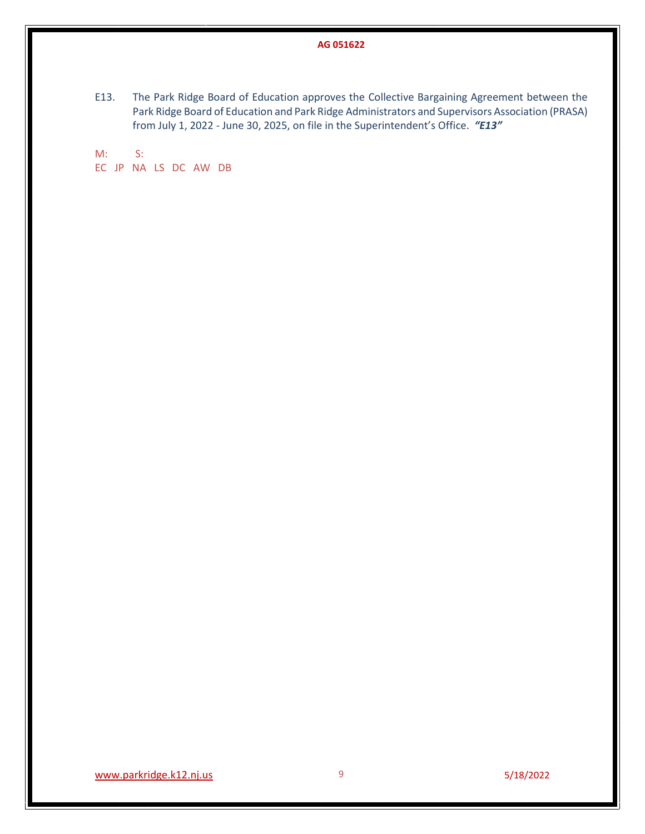E13. The Park Ridge Board of Education approves the Collective Bargaining Agreement between the Park Ridge Board of Education and Park Ridge Administrators and Supervisors Association (PRASA) from July 1, 2022 - June 30, 2025, on file in the Superintendent's Office. *"E13"*

M: S: EC JP NA LS DC AW DB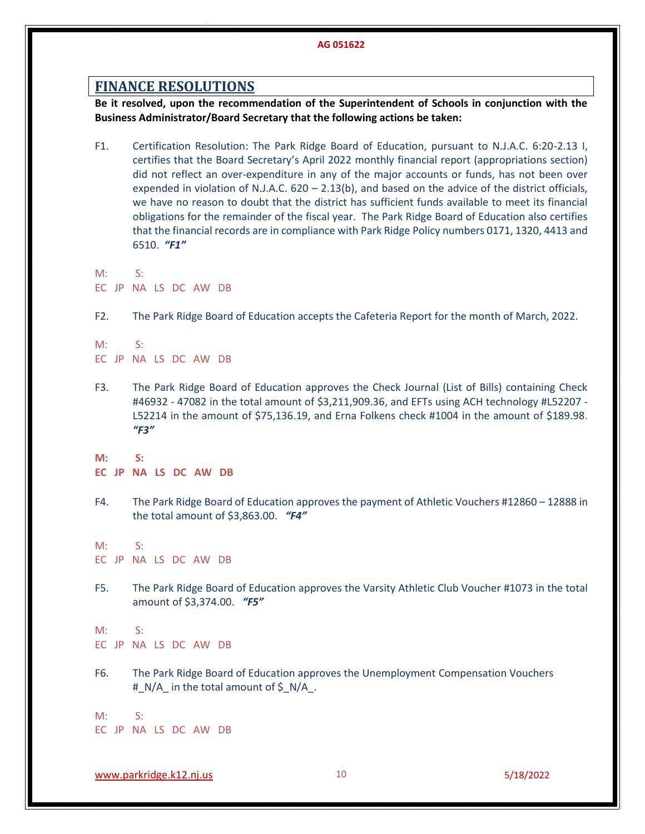## **FINANCE RESOLUTIONS**

**Be it resolved, upon the recommendation of the Superintendent of Schools in conjunction with the Business Administrator/Board Secretary that the following actions be taken:**

- F1. Certification Resolution: The Park Ridge Board of Education, pursuant to N.J.A.C. 6:20-2.13 I, certifies that the Board Secretary's April 2022 monthly financial report (appropriations section) did not reflect an over-expenditure in any of the major accounts or funds, has not been over expended in violation of N.J.A.C. 620 – 2.13(b), and based on the advice of the district officials, we have no reason to doubt that the district has sufficient funds available to meet its financial obligations for the remainder of the fiscal year. The Park Ridge Board of Education also certifies that the financial records are in compliance with Park Ridge Policy numbers 0171, 1320, 4413 and 6510.*"F1"*
- M: S: EC JP NA LS DC AW DB
- F2. The Park Ridge Board of Education accepts the Cafeteria Report for the month of March, 2022.

M: S: EC JP NA LS DC AW DB

- F3. The Park Ridge Board of Education approves the Check Journal (List of Bills) containing Check #46932 - 47082 in the total amount of \$3,211,909.36, and EFTs using ACH technology #L52207 - L52214 in the amount of \$75,136.19, and Erna Folkens check #1004 in the amount of \$189.98. *"F3"*
- **M: S:**
- **EC JP NA LS DC AW DB**
- F4. The Park Ridge Board of Education approves the payment of Athletic Vouchers #12860 12888 in the total amount of \$3,863.00. *"F4"*

M: S:

EC JP NA LS DC AW DB

F5. The Park Ridge Board of Education approves the Varsity Athletic Club Voucher #1073 in the total amount of \$3,374.00. *"F5"*

M: S: EC JP NA LS DC AW DB

F6. The Park Ridge Board of Education approves the Unemployment Compensation Vouchers #\_N/A\_ in the total amount of \$\_N/A\_.

M: S: EC JP NA LS DC AW DB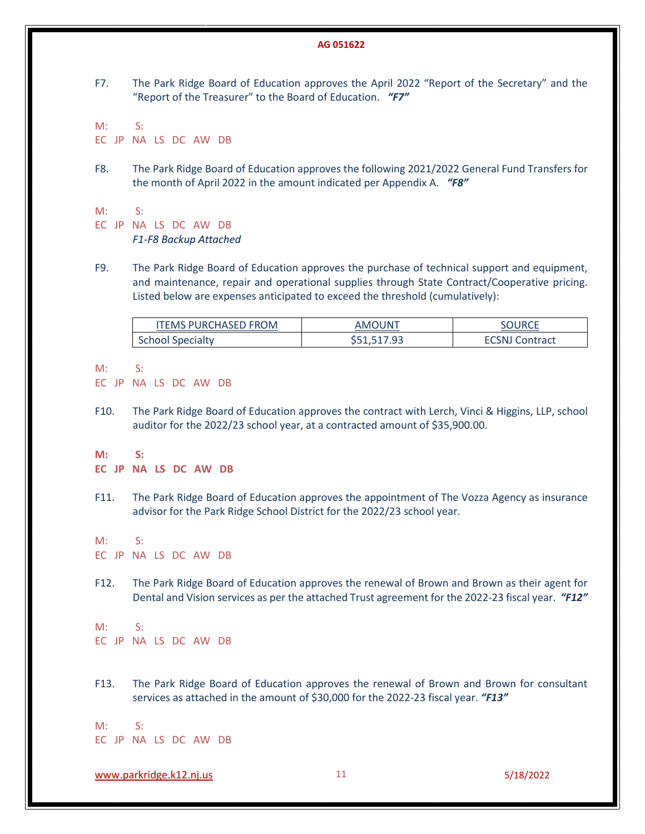F7. The Park Ridge Board of Education approves the April 2022 "Report of the Secretary" and the "Report of the Treasurer" to the Board of Education.*"F7"*

 $M: S:$ EC JP NA LS DC AW DB

F8. The Park Ridge Board of Education approves the following 2021/2022 General Fund Transfers for the month of April 2022 in the amount indicated per Appendix A.*"F8"*

 $M: S:$ 

EC JP NA LS DC AW DB *F1-F8 Backup Attached*

F9. The Park Ridge Board of Education approves the purchase of technical support and equipment, and maintenance, repair and operational supplies through State Contract/Cooperative pricing. Listed below are expenses anticipated to exceed the threshold (cumulatively):

| <b>ITEMS PURCHASED FROM</b> | <b>AMOUNT</b> | <b>OURCE</b>          |
|-----------------------------|---------------|-----------------------|
| <b>School Specialty</b>     | \$51,517.93   | <b>ECSNJ Contract</b> |

M: S:

EC JP NA LS DC AW DB

F10. The Park Ridge Board of Education approves the contract with Lerch, Vinci & Higgins, LLP, school auditor for the 2022/23 school year, at a contracted amount of \$35,900.00.

**M: S:**

- **EC JP NA LS DC AW DB**
- F11. The Park Ridge Board of Education approves the appointment of The Vozza Agency as insurance advisor for the Park Ridge School District for the 2022/23 school year.

M: S:

EC JP NA LS DC AW DB

F12. The Park Ridge Board of Education approves the renewal of Brown and Brown as their agent for Dental and Vision services as per the attached Trust agreement for the 2022-23 fiscal year.*"F12"*

M: S: EC JP NA LS DC AW DB

F13. The Park Ridge Board of Education approves the renewal of Brown and Brown for consultant services as attached in the amount of \$30,000 for the 2022-23 fiscal year. *"F13"*

M: S: EC JP NA LS DC AW DB

[www.parkridge.k12.nj.us](http://www.parkridge.k12.nj.us/) 11 5/18/2022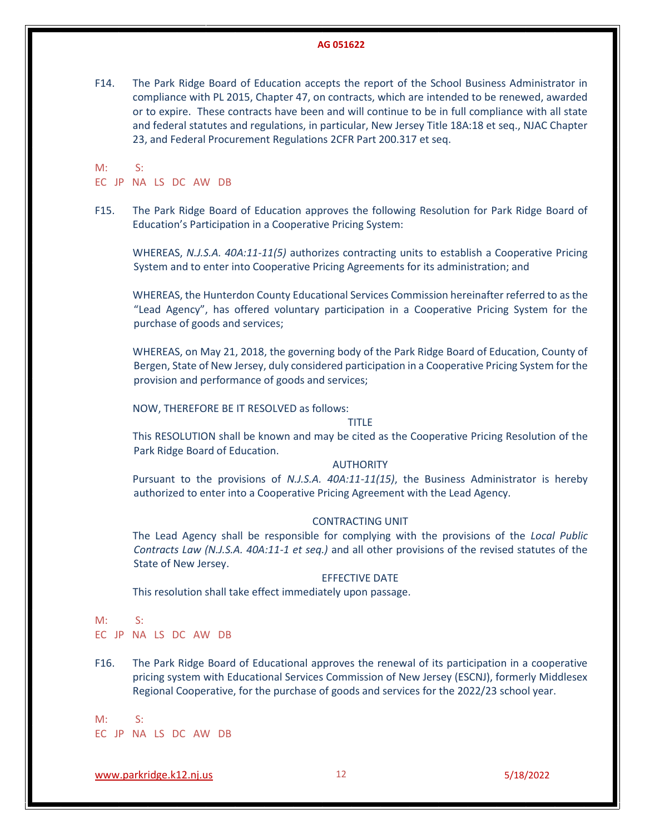F14. The Park Ridge Board of Education accepts the report of the School Business Administrator in compliance with PL 2015, Chapter 47, on contracts, which are intended to be renewed, awarded or to expire. These contracts have been and will continue to be in full compliance with all state and federal statutes and regulations, in particular, New Jersey Title 18A:18 et seq., NJAC Chapter 23, and Federal Procurement Regulations 2CFR Part 200.317 et seq.

M: S:

#### EC JP NA LS DC AW DB

F15. The Park Ridge Board of Education approves the following Resolution for Park Ridge Board of Education's Participation in a Cooperative Pricing System:

WHEREAS, *N.J.S.A. 40A:11-11(5)* authorizes contracting units to establish a Cooperative Pricing System and to enter into Cooperative Pricing Agreements for its administration; and

WHEREAS, the Hunterdon County Educational Services Commission hereinafter referred to as the "Lead Agency", has offered voluntary participation in a Cooperative Pricing System for the purchase of goods and services;

WHEREAS, on May 21, 2018, the governing body of the Park Ridge Board of Education, County of Bergen, State of New Jersey, duly considered participation in a Cooperative Pricing System for the provision and performance of goods and services;

NOW, THEREFORE BE IT RESOLVED as follows:

#### TITLE

This RESOLUTION shall be known and may be cited as the Cooperative Pricing Resolution of the Park Ridge Board of Education.

#### AUTHORITY

Pursuant to the provisions of *N.J.S.A. 40A:11-11(15)*, the Business Administrator is hereby authorized to enter into a Cooperative Pricing Agreement with the Lead Agency.

#### CONTRACTING UNIT

The Lead Agency shall be responsible for complying with the provisions of the *Local Public Contracts Law (N.J.S.A. 40A:11-1 et seq.)* and all other provisions of the revised statutes of the State of New Jersey.

#### EFFECTIVE DATE

This resolution shall take effect immediately upon passage.

#### M: S:

EC JP NA LS DC AW DB

F16. The Park Ridge Board of Educational approves the renewal of its participation in a cooperative pricing system with Educational Services Commission of New Jersey (ESCNJ), formerly Middlesex Regional Cooperative, for the purchase of goods and services for the 2022/23 school year.

M: S: EC JP NA LS DC AW DB

[www.parkridge.k12.nj.us](http://www.parkridge.k12.nj.us/) 12 5/18/2022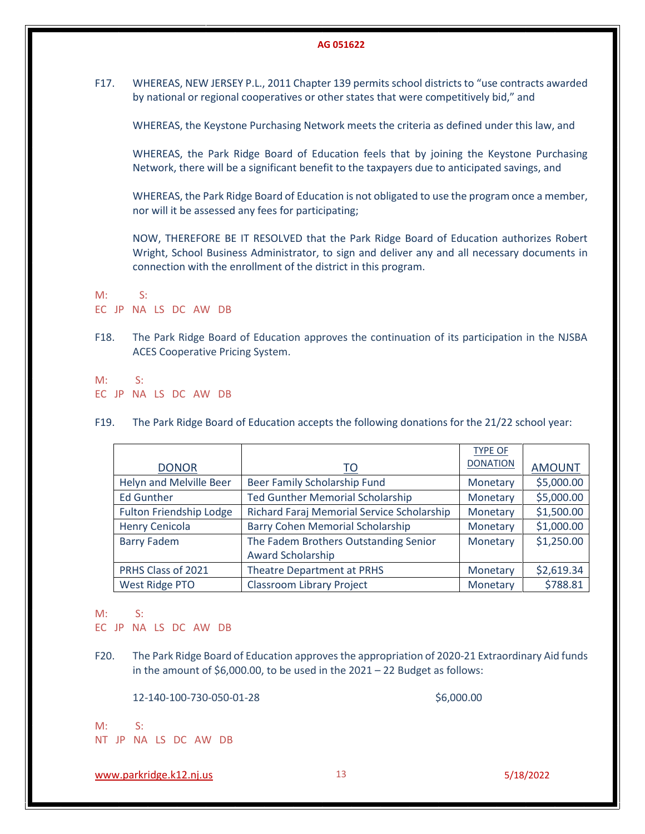F17. WHEREAS, NEW JERSEY P.L., 2011 Chapter 139 permits school districts to "use contracts awarded by national or regional cooperatives or other states that were competitively bid," and

WHEREAS, the Keystone Purchasing Network meets the criteria as defined under this law, and

WHEREAS, the Park Ridge Board of Education feels that by joining the Keystone Purchasing Network, there will be a significant benefit to the taxpayers due to anticipated savings, and

WHEREAS, the Park Ridge Board of Education is not obligated to use the program once a member, nor will it be assessed any fees for participating;

NOW, THEREFORE BE IT RESOLVED that the Park Ridge Board of Education authorizes Robert Wright, School Business Administrator, to sign and deliver any and all necessary documents in connection with the enrollment of the district in this program.

M: S: EC JP NA LS DC AW DB

F18. The Park Ridge Board of Education approves the continuation of its participation in the NJSBA ACES Cooperative Pricing System.

M: S: EC JP NA LS DC AW DB

F19. The Park Ridge Board of Education accepts the following donations for the 21/22 school year:

|                                |                                            | <b>TYPE OF</b>  |               |
|--------------------------------|--------------------------------------------|-----------------|---------------|
| <b>DONOR</b>                   | <u>TO</u>                                  | <b>DONATION</b> | <b>AMOUNT</b> |
| Helyn and Melville Beer        | Beer Family Scholarship Fund               | Monetary        | \$5,000.00    |
| <b>Ed Gunther</b>              | <b>Ted Gunther Memorial Scholarship</b>    | Monetary        | \$5,000.00    |
| <b>Fulton Friendship Lodge</b> | Richard Faraj Memorial Service Scholarship | Monetary        | \$1,500.00    |
| <b>Henry Cenicola</b>          | <b>Barry Cohen Memorial Scholarship</b>    | Monetary        | \$1,000.00    |
| <b>Barry Fadem</b>             | The Fadem Brothers Outstanding Senior      | Monetary        | \$1,250.00    |
|                                | Award Scholarship                          |                 |               |
| PRHS Class of 2021             | <b>Theatre Department at PRHS</b>          | Monetary        | \$2,619.34    |
| <b>West Ridge PTO</b>          | <b>Classroom Library Project</b>           | Monetary        | \$788.81      |

M: S:

EC JP NA LS DC AW DB

F20. The Park Ridge Board of Education approves the appropriation of 2020-21 Extraordinary Aid funds in the amount of  $$6,000.00$ , to be used in the  $2021 - 22$  Budget as follows:

12-140-100-730-050-01-28 \$6,000.00

M: S: NT JP NA LS DC AW DB

[www.parkridge.k12.nj.us](http://www.parkridge.k12.nj.us/) 13 5/18/2022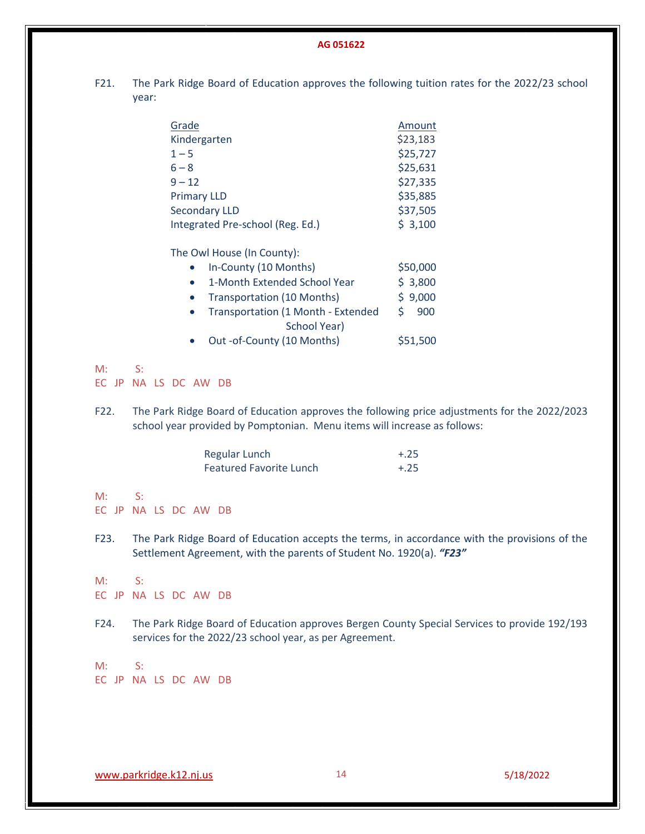F21. The Park Ridge Board of Education approves the following tuition rates for the 2022/23 school year:

| Grade                            | Amount   |
|----------------------------------|----------|
| Kindergarten                     | \$23,183 |
| $1 - 5$                          | \$25,727 |
| $6 - 8$                          | \$25,631 |
| $9 - 12$                         | \$27,335 |
| <b>Primary LLD</b>               | \$35,885 |
| <b>Secondary LLD</b>             | \$37,505 |
| Integrated Pre-school (Reg. Ed.) | \$3,100  |

|             | The Owl House (In County):                                               |                                                    |                                                                                               |
|-------------|--------------------------------------------------------------------------|----------------------------------------------------|-----------------------------------------------------------------------------------------------|
|             | In-County (10 Months)                                                    |                                                    | \$50,000                                                                                      |
|             | $\bullet$                                                                | 1-Month Extended School Year                       | \$3,800                                                                                       |
|             | <b>Transportation (10 Months)</b><br>$\bullet$                           |                                                    | \$9,000                                                                                       |
|             | $\bullet$                                                                | Transportation (1 Month - Extended<br>School Year) | 900<br>\$.                                                                                    |
|             | $\bullet$                                                                | Out -of-County (10 Months)                         | \$51,500                                                                                      |
| M:          | S:                                                                       |                                                    |                                                                                               |
| EC JP       | NA LS DC AW DB                                                           |                                                    |                                                                                               |
| F22.        | school year provided by Pomptonian. Menu items will increase as follows: |                                                    | The Park Ridge Board of Education approves the following price adjustments for the 2022/2023  |
|             | <b>Regular Lunch</b><br><b>Featured Favorite Lunch</b>                   |                                                    | $+.25$<br>$+.25$                                                                              |
| M:          | $S$ :<br>EC JP NA LS DC AW DB                                            |                                                    |                                                                                               |
| F23.        | Settlement Agreement, with the parents of Student No. 1920(a). "F23"     |                                                    | The Park Ridge Board of Education accepts the terms, in accordance with the provisions of the |
| M:<br>EC JP | $S$ :<br>NA LS DC AW DB                                                  |                                                    |                                                                                               |
| F24.        | services for the 2022/23 school year, as per Agreement.                  |                                                    | The Park Ridge Board of Education approves Bergen County Special Services to provide 192/193  |
| M:          | $S$ :<br>EC JP NA LS DC AW DB                                            |                                                    |                                                                                               |
|             |                                                                          |                                                    |                                                                                               |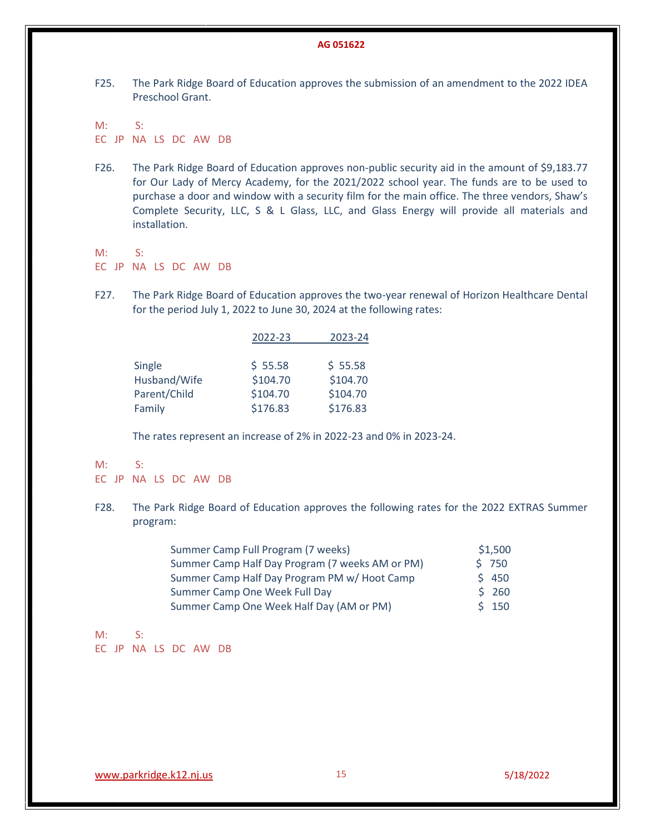F25. The Park Ridge Board of Education approves the submission of an amendment to the 2022 IDEA Preschool Grant.

M: S: EC JP NA LS DC AW DB

- F26. The Park Ridge Board of Education approves non-public security aid in the amount of \$9,183.77 for Our Lady of Mercy Academy, for the 2021/2022 school year. The funds are to be used to purchase a door and window with a security film for the main office. The three vendors, Shaw's Complete Security, LLC, S & L Glass, LLC, and Glass Energy will provide all materials and installation.
- M: S: EC JP NA LS DC AW DB
- F27. The Park Ridge Board of Education approves the two-year renewal of Horizon Healthcare Dental for the period July 1, 2022 to June 30, 2024 at the following rates:

|              | 2022-23  | 2023-24  |
|--------------|----------|----------|
|              |          |          |
| Single       | \$55.58  | \$55.58  |
| Husband/Wife | \$104.70 | \$104.70 |
| Parent/Child | \$104.70 | \$104.70 |
| Family       | \$176.83 | \$176.83 |

The rates represent an increase of 2% in 2022-23 and 0% in 2023-24.

#### M: S:

#### EC JP NA LS DC AW DB

F28. The Park Ridge Board of Education approves the following rates for the 2022 EXTRAS Summer program:

| Summer Camp Full Program (7 weeks)              | \$1,500 |
|-------------------------------------------------|---------|
| Summer Camp Half Day Program (7 weeks AM or PM) | 5750    |
| Summer Camp Half Day Program PM w/ Hoot Camp    | \$450   |
| Summer Camp One Week Full Day                   | \$260   |
| Summer Camp One Week Half Day (AM or PM)        | \$150   |

M: S: EC JP NA LS DC AW DB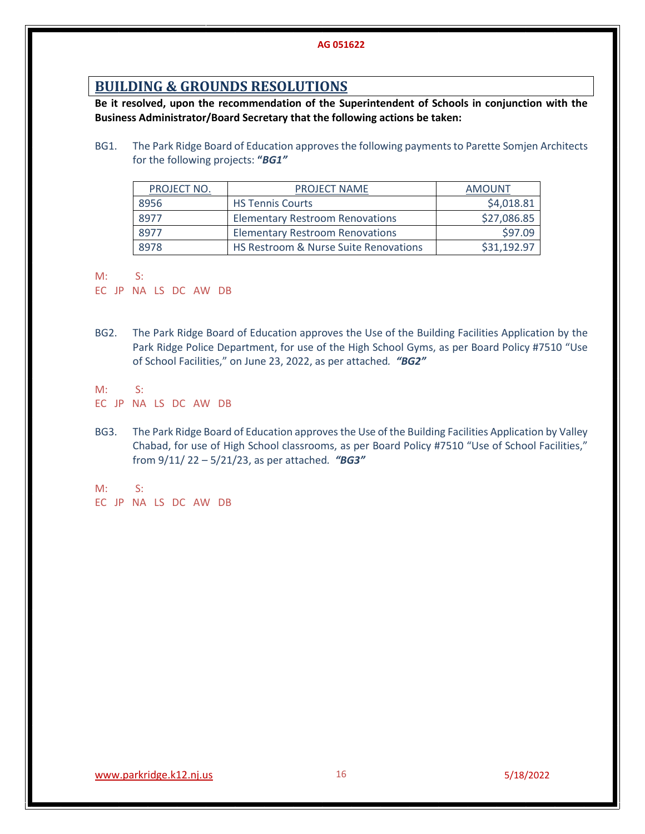## **BUILDING & GROUNDS RESOLUTIONS**

**Be it resolved, upon the recommendation of the Superintendent of Schools in conjunction with the Business Administrator/Board Secretary that the following actions be taken:**

BG1. The Park Ridge Board of Education approves the following payments to Parette Somjen Architects for the following projects: **"***BG1"*

| PROJECT NO. | <b>PROJECT NAME</b>                              | AMOUNT      |
|-------------|--------------------------------------------------|-------------|
| 8956        | <b>HS Tennis Courts</b>                          | \$4,018.81  |
| 8977        | <b>Elementary Restroom Renovations</b>           | \$27,086.85 |
| 8977        | <b>Elementary Restroom Renovations</b>           | \$97.09     |
| 8978        | <b>HS Restroom &amp; Nurse Suite Renovations</b> | \$31.192.97 |

M: S:

EC JP NA LS DC AW DB

BG2. The Park Ridge Board of Education approves the Use of the Building Facilities Application by the Park Ridge Police Department, for use of the High School Gyms, as per Board Policy #7510 "Use of School Facilities," on June 23, 2022, as per attached*. "BG2"*

M: S:

EC JP NA LS DC AW DB

BG3. The Park Ridge Board of Education approves the Use of the Building Facilities Application by Valley Chabad, for use of High School classrooms, as per Board Policy #7510 "Use of School Facilities," from 9/11/ 22 – 5/21/23, as per attached*. "BG3"*

M: S: EC JP NA LS DC AW DB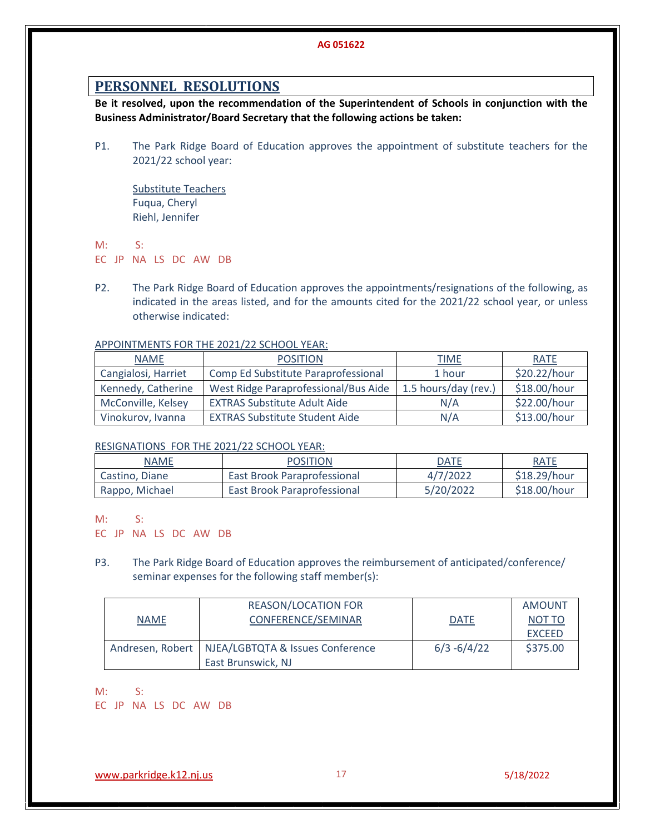## **PERSONNEL RESOLUTIONS**

**Be it resolved, upon the recommendation of the Superintendent of Schools in conjunction with the Business Administrator/Board Secretary that the following actions be taken:**

P1. The Park Ridge Board of Education approves the appointment of substitute teachers for the 2021/22 school year:

Substitute Teachers Fuqua, Cheryl Riehl, Jennifer

M: S: EC JP NA LS DC AW DB

P2. The Park Ridge Board of Education approves the appointments/resignations of the following, as indicated in the areas listed, and for the amounts cited for the 2021/22 school year, or unless otherwise indicated:

#### APPOINTMENTS FOR THE 2021/22 SCHOOL YEAR:

| <b>NAME</b>         | <b>POSITION</b>                       | <b>TIME</b>          | <b>RATE</b>  |
|---------------------|---------------------------------------|----------------------|--------------|
| Cangialosi, Harriet | Comp Ed Substitute Paraprofessional   | 1 hour               | \$20.22/hour |
| Kennedy, Catherine  | West Ridge Paraprofessional/Bus Aide  | 1.5 hours/day (rev.) | \$18.00/hour |
| McConville, Kelsey  | <b>EXTRAS Substitute Adult Aide</b>   | N/A                  | \$22.00/hour |
| Vinokurov, Ivanna   | <b>EXTRAS Substitute Student Aide</b> | N/A                  | \$13.00/hour |

#### RESIGNATIONS FOR THE 2021/22 SCHOOL YEAR:

| <b>NAME</b>    | <b>POSITION</b>             | <b>DATE</b> | <b>RATE</b>  |
|----------------|-----------------------------|-------------|--------------|
| Castino, Diane | East Brook Paraprofessional | 4/7/2022    | \$18.29/hour |
| Rappo, Michael | East Brook Paraprofessional | 5/20/2022   | \$18.00/hour |

M: S:

EC JP NA LS DC AW DB

P3. The Park Ridge Board of Education approves the reimbursement of anticipated/conference/ seminar expenses for the following staff member(s):

|             | <b>REASON/LOCATION FOR</b>                          |                | <b>AMOUNT</b> |
|-------------|-----------------------------------------------------|----------------|---------------|
| <b>NAME</b> | CONFERENCE/SEMINAR                                  | <b>DATE</b>    | NOT TO        |
|             |                                                     |                | <b>EXCEED</b> |
|             | Andresen, Robert   NJEA/LGBTQTA & Issues Conference | $6/3 - 6/4/22$ | \$375.00      |
|             | East Brunswick, NJ                                  |                |               |

M: S:

EC JP NA LS DC AW DB

[www.parkridge.k12.nj.us](http://www.parkridge.k12.nj.us/) 17 5/18/2022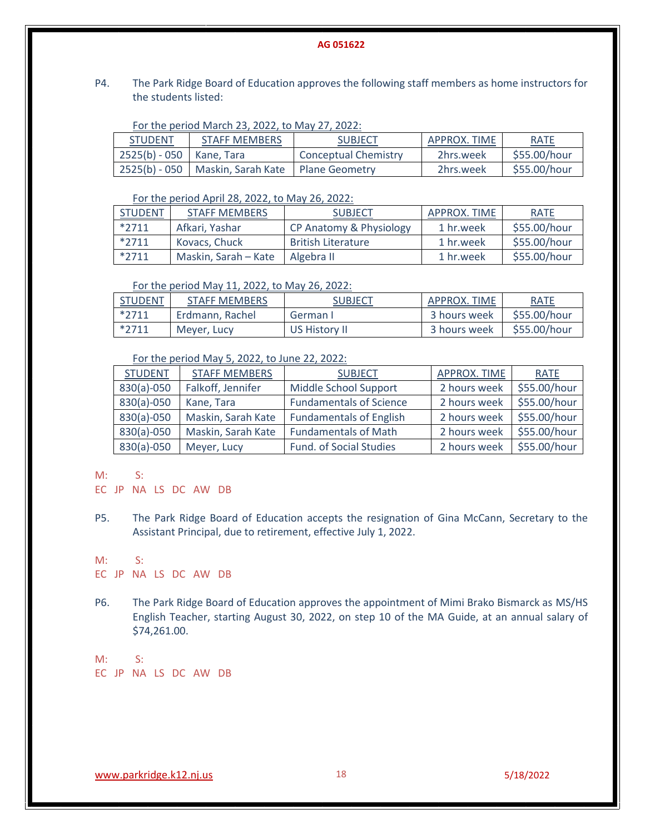P4. The Park Ridge Board of Education approves the following staff members as home instructors for the students listed:

| For the period March 23, 2022, to May 27, 2022: |  |  |  |  |  |
|-------------------------------------------------|--|--|--|--|--|
|-------------------------------------------------|--|--|--|--|--|

| <b>STUDENT</b>             | <b>STAFF MEMBERS</b>                                | <b>SUBJECT</b>       | APPROX. TIME | <b>RATE</b>  |
|----------------------------|-----------------------------------------------------|----------------------|--------------|--------------|
| $2525(b) - 050$ Kane, Tara |                                                     | Conceptual Chemistry | 2hrs.week    | \$55.00/hour |
|                            | 2525(b) - 050   Maskin, Sarah Kate   Plane Geometry |                      | 2hrs.week    | \$55.00/hour |

For the period April 28, 2022, to May 26, 2022:

| <b>STUDENT</b> | <b>STAFF MEMBERS</b> | <b>SUBJECT</b>            | APPROX. TIME | <b>RATE</b>  |
|----------------|----------------------|---------------------------|--------------|--------------|
| $*2711$        | Afkari. Yashar       | CP Anatomy & Physiology   | 1 hr.week    | \$55.00/hour |
| $*2711$        | Kovacs, Chuck        | <b>British Literature</b> | 1 hr.week    | \$55.00/hour |
| $*2711$        | Maskin, Sarah – Kate | Algebra II                | 1 hr.week    | \$55.00/hour |

#### For the period May 11, 2022, to May 26, 2022:

| <b>STUDENT</b> | <b>STAFF MEMBERS</b> | <b>SUBJECT</b> | APPROX. TIME | <b>RATE</b>  |
|----------------|----------------------|----------------|--------------|--------------|
| $*2711$        | Erdmann, Rachel      | German I       | 3 hours week | \$55.00/hour |
| $*2711$        | Meyer, Lucy          | US History II  | 3 hours week | \$55.00/hour |

### For the period May 5, 2022, to June 22, 2022:

| <b>STUDENT</b> | <b>STAFF MEMBERS</b> | <b>SUBJECT</b>                 | APPROX. TIME | <b>RATE</b>  |
|----------------|----------------------|--------------------------------|--------------|--------------|
| $830(a) - 050$ | Falkoff, Jennifer    | Middle School Support          | 2 hours week | \$55.00/hour |
| 830(a)-050     | Kane, Tara           | <b>Fundamentals of Science</b> | 2 hours week | \$55.00/hour |
| $830(a) - 050$ | Maskin, Sarah Kate   | <b>Fundamentals of English</b> | 2 hours week | \$55.00/hour |
| $830(a) - 050$ | Maskin, Sarah Kate   | <b>Fundamentals of Math</b>    | 2 hours week | \$55.00/hour |
| $830(a) - 050$ | Meyer, Lucy          | <b>Fund. of Social Studies</b> | 2 hours week | \$55.00/hour |

M: S:

- EC JP NA LS DC AW DB
- P5. The Park Ridge Board of Education accepts the resignation of Gina McCann, Secretary to the Assistant Principal, due to retirement, effective July 1, 2022.

#### M: S:

EC JP NA LS DC AW DB

P6. The Park Ridge Board of Education approves the appointment of Mimi Brako Bismarck as MS/HS English Teacher, starting August 30, 2022, on step 10 of the MA Guide, at an annual salary of \$74,261.00.

M: S: EC JP NA LS DC AW DB

[www.parkridge.k12.nj.us](http://www.parkridge.k12.nj.us/) 18 5/18/2022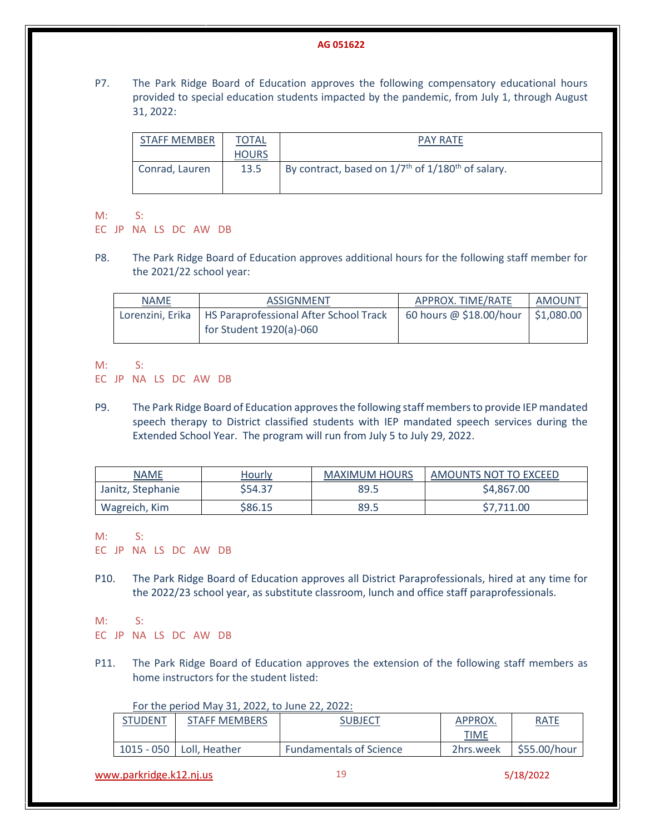P7. The Park Ridge Board of Education approves the following compensatory educational hours provided to special education students impacted by the pandemic, from July 1, through August 31, 2022:

| STAFF MEMBER   | <b>TOTAL</b> | <b>PAY RATE</b>                                                           |
|----------------|--------------|---------------------------------------------------------------------------|
|                | <b>HOURS</b> |                                                                           |
| Conrad, Lauren | 13.5         | By contract, based on 1/7 <sup>th</sup> of 1/180 <sup>th</sup> of salary. |

M: S:

EC JP NA LS DC AW DB

P8. The Park Ridge Board of Education approves additional hours for the following staff member for the 2021/22 school year:

| <b>NAME</b> | ASSIGNMENT                                                | APPROX. TIME/RATE                    | AMOUNT |
|-------------|-----------------------------------------------------------|--------------------------------------|--------|
|             | Lorenzini, Erika   HS Paraprofessional After School Track | 60 hours @ \$18.00/hour   \$1,080.00 |        |
|             | for Student $1920(a)$ -060                                |                                      |        |

M: S:

EC JP NA LS DC AW DB

P9. The Park Ridge Board of Education approves the following staff members to provide IEP mandated speech therapy to District classified students with IEP mandated speech services during the Extended School Year. The program will run from July 5 to July 29, 2022.

| <b>NAME</b>       | <u>Hourly</u> | <b>MAXIMUM HOURS</b> | AMOUNTS NOT TO EXCEED |
|-------------------|---------------|----------------------|-----------------------|
| Janitz, Stephanie | \$54.37       | 89.5                 | \$4,867.00            |
| Wagreich, Kim     | \$86.15       | 89.5                 | \$7,711.00            |

M: S:

EC JP NA LS DC AW DB

P10. The Park Ridge Board of Education approves all District Paraprofessionals, hired at any time for the 2022/23 school year, as substitute classroom, lunch and office staff paraprofessionals.

M: S:

EC JP NA LS DC AW DB

P11. The Park Ridge Board of Education approves the extension of the following staff members as home instructors for the student listed:

#### For the period May 31, 2022, to June 22, 2022:

| <b>STUDENT</b> | <b>STAFF MEMBERS</b>       | SUBJECT                        | APPROX.   | <u>RATE</u>                |
|----------------|----------------------------|--------------------------------|-----------|----------------------------|
|                |                            |                                | TIME      |                            |
|                | 1015 - 050   Loll, Heather | <b>Fundamentals of Science</b> | 2hrs.week | $\frac{1}{2}$ \$55.00/hour |

[www.parkridge.k12.nj.us](http://www.parkridge.k12.nj.us/) 19 5/18/2022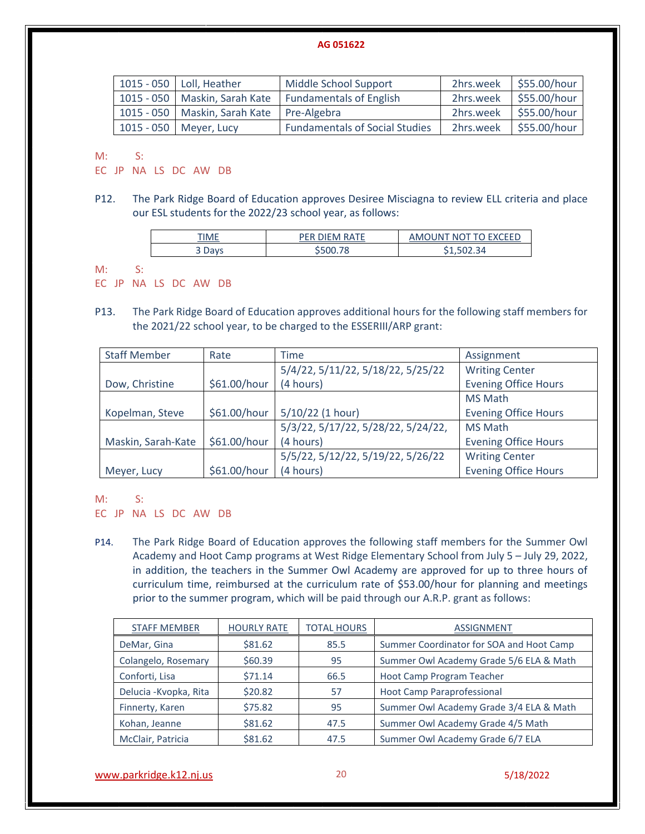| 1015 - 050   Loll, Heather      | Middle School Support                 |           | 2hrs.week   \$55.00/hour |
|---------------------------------|---------------------------------------|-----------|--------------------------|
| 1015 - 050   Maskin, Sarah Kate | <b>Fundamentals of English</b>        | 2hrs.week | \$55.00/hour             |
| 1015 - 050   Maskin, Sarah Kate | Pre-Algebra                           | 2hrs.week | \$55.00/hour             |
| 1015 - 050   Meyer, Lucy        | <b>Fundamentals of Social Studies</b> | 2hrs.week | \$55.00/hour             |

M: S:

EC JP NA LS DC AW DB

P12. The Park Ridge Board of Education approves Desiree Misciagna to review ELL criteria and place our ESL students for the 2022/23 school year, as follows:

| TIME                     | ם ⊐רי<br>$\cdots$ in Fimily RATE | S EVALED.<br>NG.<br>IN I<br>--- |
|--------------------------|----------------------------------|---------------------------------|
| )avs<br>ັ<br><b>D</b> uy |                                  | 34<br>しょうひとうつう                  |

M: S:

EC JP NA LS DC AW DB

P13. The Park Ridge Board of Education approves additional hours for the following staff members for the 2021/22 school year, to be charged to the ESSERIII/ARP grant:

| <b>Staff Member</b> | Rate         | Time                               | Assignment                  |
|---------------------|--------------|------------------------------------|-----------------------------|
|                     |              | 5/4/22, 5/11/22, 5/18/22, 5/25/22  | <b>Writing Center</b>       |
| Dow, Christine      | \$61.00/hour | (4 hours)                          | <b>Evening Office Hours</b> |
|                     |              |                                    | <b>MS Math</b>              |
| Kopelman, Steve     | \$61.00/hour | 5/10/22 (1 hour)                   | <b>Evening Office Hours</b> |
|                     |              | 5/3/22, 5/17/22, 5/28/22, 5/24/22, | <b>MS Math</b>              |
| Maskin, Sarah-Kate  | \$61.00/hour | (4 hours)                          | <b>Evening Office Hours</b> |
|                     |              | 5/5/22, 5/12/22, 5/19/22, 5/26/22  | <b>Writing Center</b>       |
| Meyer, Lucy         | \$61.00/hour | (4 hours)                          | <b>Evening Office Hours</b> |

M: S:

EC JP NA LS DC AW DB

P14. The Park Ridge Board of Education approves the following staff members for the Summer Owl Academy and Hoot Camp programs at West Ridge Elementary School from July 5 – July 29, 2022, in addition, the teachers in the Summer Owl Academy are approved for up to three hours of curriculum time, reimbursed at the curriculum rate of \$53.00/hour for planning and meetings prior to the summer program, which will be paid through our A.R.P. grant as follows:

| <b>STAFF MEMBER</b>    | <b>HOURLY RATE</b> | <b>TOTAL HOURS</b> | <b>ASSIGNMENT</b>                        |
|------------------------|--------------------|--------------------|------------------------------------------|
| DeMar, Gina            | \$81.62            | 85.5               | Summer Coordinator for SOA and Hoot Camp |
| Colangelo, Rosemary    | \$60.39            | 95                 | Summer Owl Academy Grade 5/6 ELA & Math  |
| Conforti, Lisa         | \$71.14            | 66.5               | Hoot Camp Program Teacher                |
| Delucia - Kvopka, Rita | \$20.82            | 57                 | <b>Hoot Camp Paraprofessional</b>        |
| Finnerty, Karen        | \$75.82            | 95                 | Summer Owl Academy Grade 3/4 ELA & Math  |
| Kohan, Jeanne          | \$81.62            | 47.5               | Summer Owl Academy Grade 4/5 Math        |
| McClair, Patricia      | \$81.62            | 47.5               | Summer Owl Academy Grade 6/7 ELA         |

[www.parkridge.k12.nj.us](http://www.parkridge.k12.nj.us/) 20 5/18/2022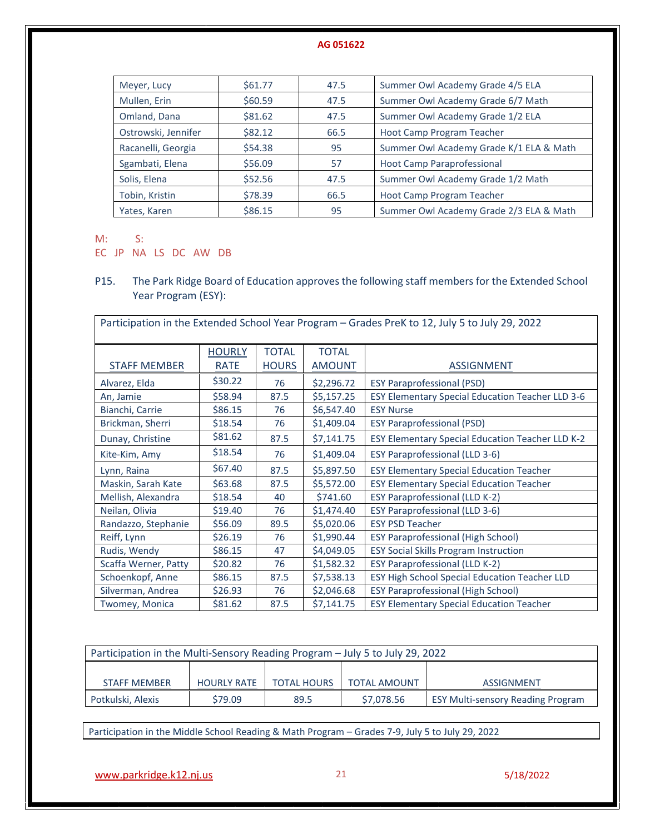| Meyer, Lucy         | \$61.77 | 47.5 | Summer Owl Academy Grade 4/5 ELA        |
|---------------------|---------|------|-----------------------------------------|
| Mullen, Erin        | \$60.59 | 47.5 | Summer Owl Academy Grade 6/7 Math       |
| Omland, Dana        | \$81.62 | 47.5 | Summer Owl Academy Grade 1/2 ELA        |
| Ostrowski, Jennifer | \$82.12 | 66.5 | Hoot Camp Program Teacher               |
| Racanelli, Georgia  | \$54.38 | 95   | Summer Owl Academy Grade K/1 ELA & Math |
| Sgambati, Elena     | \$56.09 | 57   | <b>Hoot Camp Paraprofessional</b>       |
| Solis, Elena        | \$52.56 | 47.5 | Summer Owl Academy Grade 1/2 Math       |
| Tobin, Kristin      | \$78.39 | 66.5 | Hoot Camp Program Teacher               |
| Yates, Karen        | \$86.15 | 95   | Summer Owl Academy Grade 2/3 ELA & Math |

M: S:

EC JP NA LS DC AW DB

P15. The Park Ridge Board of Education approves the following staff members for the Extended School Year Program (ESY):

| Participation in the Extended School Year Program - Grades PreK to 12, July 5 to July 29, 2022 |               |              |               |                                                         |  |
|------------------------------------------------------------------------------------------------|---------------|--------------|---------------|---------------------------------------------------------|--|
|                                                                                                | <b>HOURLY</b> | <b>TOTAL</b> | <b>TOTAL</b>  |                                                         |  |
| <b>STAFF MEMBER</b>                                                                            | RATE          | <b>HOURS</b> | <b>AMOUNT</b> | <b>ASSIGNMENT</b>                                       |  |
| Alvarez, Elda                                                                                  | \$30.22       | 76           | \$2,296.72    | <b>ESY Paraprofessional (PSD)</b>                       |  |
| An, Jamie                                                                                      | \$58.94       | 87.5         | \$5,157.25    | <b>ESY Elementary Special Education Teacher LLD 3-6</b> |  |
| Bianchi, Carrie                                                                                | \$86.15       | 76           | \$6,547.40    | <b>ESY Nurse</b>                                        |  |
| Brickman, Sherri                                                                               | \$18.54       | 76           | \$1,409.04    | <b>ESY Paraprofessional (PSD)</b>                       |  |
| Dunay, Christine                                                                               | \$81.62       | 87.5         | \$7,141.75    | ESY Elementary Special Education Teacher LLD K-2        |  |
| Kite-Kim, Amy                                                                                  | \$18.54       | 76           | \$1,409.04    | ESY Paraprofessional (LLD 3-6)                          |  |
| Lynn, Raina                                                                                    | \$67.40       | 87.5         | \$5,897.50    | <b>ESY Elementary Special Education Teacher</b>         |  |
| Maskin, Sarah Kate                                                                             | \$63.68       | 87.5         | \$5,572.00    | <b>ESY Elementary Special Education Teacher</b>         |  |
| Mellish, Alexandra                                                                             | \$18.54       | 40           | \$741.60      | <b>ESY Paraprofessional (LLD K-2)</b>                   |  |
| Neilan, Olivia                                                                                 | \$19.40       | 76           | \$1,474.40    | <b>ESY Paraprofessional (LLD 3-6)</b>                   |  |
| Randazzo, Stephanie                                                                            | \$56.09       | 89.5         | \$5,020.06    | <b>ESY PSD Teacher</b>                                  |  |
| Reiff, Lynn                                                                                    | \$26.19       | 76           | \$1,990.44    | <b>ESY Paraprofessional (High School)</b>               |  |
| Rudis, Wendy                                                                                   | \$86.15       | 47           | \$4,049.05    | <b>ESY Social Skills Program Instruction</b>            |  |
| Scaffa Werner, Patty                                                                           | \$20.82       | 76           | \$1,582.32    | <b>ESY Paraprofessional (LLD K-2)</b>                   |  |
| Schoenkopf, Anne                                                                               | \$86.15       | 87.5         | \$7,538.13    | ESY High School Special Education Teacher LLD           |  |
| Silverman, Andrea                                                                              | \$26.93       | 76           | \$2,046.68    | <b>ESY Paraprofessional (High School)</b>               |  |
| Twomey, Monica                                                                                 | \$81.62       | 87.5         | \$7,141.75    | <b>ESY Elementary Special Education Teacher</b>         |  |

| Participation in the Multi-Sensory Reading Program - July 5 to July 29, 2022 |                    |                    |                     |                                          |  |  |
|------------------------------------------------------------------------------|--------------------|--------------------|---------------------|------------------------------------------|--|--|
|                                                                              |                    |                    |                     |                                          |  |  |
| <b>STAFF MEMBER</b>                                                          | <b>HOURLY RATE</b> | <b>TOTAL HOURS</b> | <b>TOTAL AMOUNT</b> | <b>ASSIGNMENT</b>                        |  |  |
| Potkulski, Alexis                                                            | \$79.09            | 89.5               | \$7,078.56          | <b>ESY Multi-sensory Reading Program</b> |  |  |

Participation in the Middle School Reading & Math Program – Grades 7-9, July 5 to July 29, 2022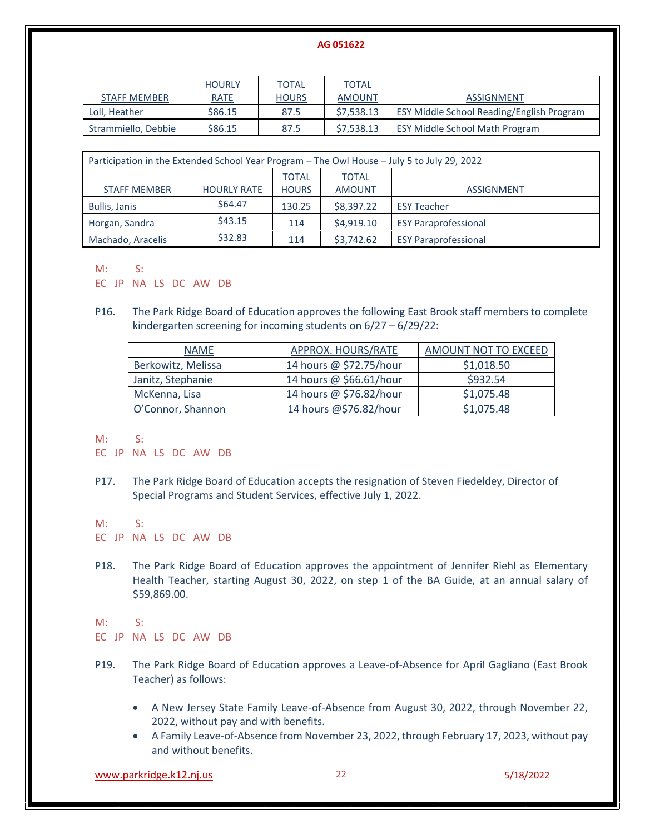|                     | <b>HOURLY</b>  | <b>TOTAL</b> | <b>TOTAL</b>  |                                           |
|---------------------|----------------|--------------|---------------|-------------------------------------------|
| STAFF MEMBER        | <b>RATE</b>    | <b>HOURS</b> | <b>AMOUNT</b> | ASSIGNMENT                                |
| Loll, Heather       | \$86.15        | 87.5         | \$7,538.13    | ESY Middle School Reading/English Program |
| Strammiello, Debbie | <b>\$86.15</b> | 87.5         | \$7.538.13    | <b>ESY Middle School Math Program</b>     |

| Participation in the Extended School Year Program - The Owl House - July 5 to July 29, 2022 |                    |              |               |                             |  |
|---------------------------------------------------------------------------------------------|--------------------|--------------|---------------|-----------------------------|--|
|                                                                                             |                    | <b>TOTAL</b> | <b>TOTAL</b>  |                             |  |
| <b>STAFF MEMBER</b>                                                                         | <b>HOURLY RATE</b> | <b>HOURS</b> | <b>AMOUNT</b> | <b>ASSIGNMENT</b>           |  |
| <b>Bullis, Janis</b>                                                                        | \$64.47            | 130.25       | \$8,397.22    | <b>ESY Teacher</b>          |  |
| Horgan, Sandra                                                                              | \$43.15            | 114          | \$4,919.10    | <b>ESY Paraprofessional</b> |  |
| Machado, Aracelis                                                                           | \$32.83            | 114          | \$3,742.62    | <b>ESY Paraprofessional</b> |  |

#### M: S:

EC JP NA LS DC AW DB

P16. The Park Ridge Board of Education approves the following East Brook staff members to complete kindergarten screening for incoming students on 6/27 – 6/29/22:

| <b>NAME</b>        | APPROX. HOURS/RATE      | AMOUNT NOT TO EXCEED |  |
|--------------------|-------------------------|----------------------|--|
| Berkowitz, Melissa | 14 hours @ \$72.75/hour | \$1,018.50           |  |
| Janitz, Stephanie  | 14 hours @ \$66.61/hour | \$932.54             |  |
| McKenna, Lisa      | 14 hours @ \$76.82/hour | \$1,075.48           |  |
| O'Connor, Shannon  | 14 hours @\$76.82/hour  | \$1,075.48           |  |

M: S:

EC JP NA LS DC AW DB

P17. The Park Ridge Board of Education accepts the resignation of Steven Fiedeldey, Director of Special Programs and Student Services, effective July 1, 2022.

M: S:

- EC JP NA LS DC AW DB
- P18. The Park Ridge Board of Education approves the appointment of Jennifer Riehl as Elementary Health Teacher, starting August 30, 2022, on step 1 of the BA Guide, at an annual salary of \$59,869.00.

#### M: S:

EC JP NA LS DC AW DB

- P19. The Park Ridge Board of Education approves a Leave-of-Absence for April Gagliano (East Brook Teacher) as follows:
	- A New Jersey State Family Leave-of-Absence from August 30, 2022, through November 22, 2022, without pay and with benefits.
	- A Family Leave-of-Absence from November 23, 2022, through February 17, 2023, without pay and without benefits.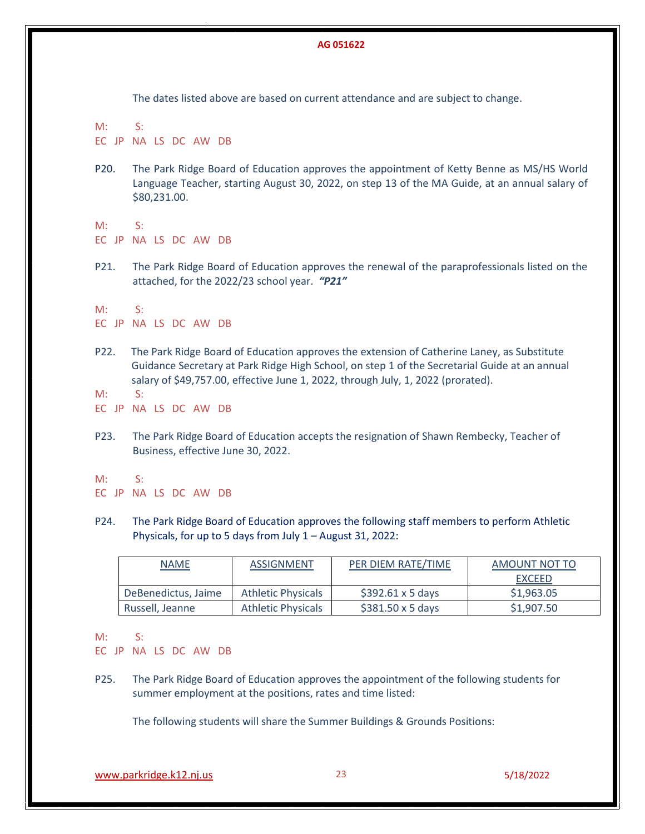The dates listed above are based on current attendance and are subject to change.

M: S: EC JP NA LS DC AW DB

P20. The Park Ridge Board of Education approves the appointment of Ketty Benne as MS/HS World Language Teacher, starting August 30, 2022, on step 13 of the MA Guide, at an annual salary of \$80,231.00.

M: S:

EC JP NA LS DC AW DB

P21. The Park Ridge Board of Education approves the renewal of the paraprofessionals listed on the attached, for the 2022/23 school year.*"P21"*

M: S:

EC JP NA LS DC AW DB

- P22. The Park Ridge Board of Education approves the extension of Catherine Laney, as Substitute Guidance Secretary at Park Ridge High School, on step 1 of the Secretarial Guide at an annual salary of \$49,757.00, effective June 1, 2022, through July, 1, 2022 (prorated).
- M: S:
- EC JP NA LS DC AW DB
- P23. The Park Ridge Board of Education accepts the resignation of Shawn Rembecky, Teacher of Business, effective June 30, 2022.

 $M: S:$ 

P24. The Park Ridge Board of Education approves the following staff members to perform Athletic Physicals, for up to 5 days from July 1 – August 31, 2022:

| <b>NAME</b>         | <b>ASSIGNMENT</b>         | PER DIEM RATE/TIME              | AMOUNT NOT TO |  |
|---------------------|---------------------------|---------------------------------|---------------|--|
|                     |                           |                                 | <b>EXCEED</b> |  |
| DeBenedictus, Jaime | <b>Athletic Physicals</b> | $$392.61 \times 5 \text{ days}$ | \$1,963.05    |  |
| Russell, Jeanne     | <b>Athletic Physicals</b> | $$381.50 \times 5 \text{ days}$ | \$1,907.50    |  |

M: S:

EC JP NA LS DC AW DB

P25. The Park Ridge Board of Education approves the appointment of the following students for summer employment at the positions, rates and time listed:

The following students will share the Summer Buildings & Grounds Positions:

[www.parkridge.k12.nj.us](http://www.parkridge.k12.nj.us/) 23 5/18/2022

EC JP NA LS DC AW DB